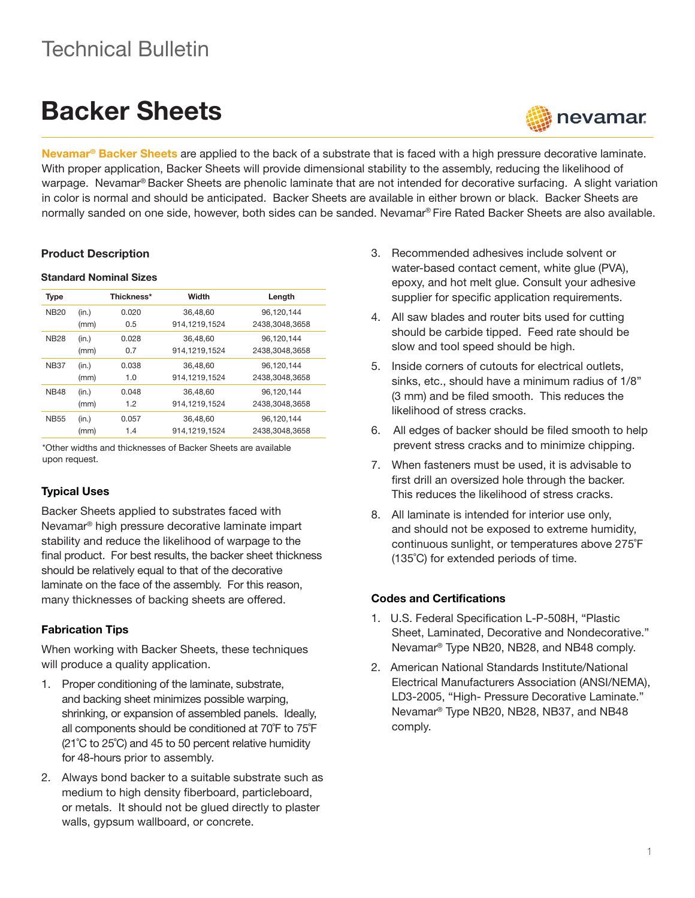## Technical Bulletin

# Backer Sheets



Nevamar<sup>®</sup> Backer Sheets are applied to the back of a substrate that is faced with a high pressure decorative laminate. With proper application, Backer Sheets will provide dimensional stability to the assembly, reducing the likelihood of warpage. Nevamar® Backer Sheets are phenolic laminate that are not intended for decorative surfacing. A slight variation in color is normal and should be anticipated. Backer Sheets are available in either brown or black. Backer Sheets are normally sanded on one side, however, both sides can be sanded. Nevamar® Fire Rated Backer Sheets are also available.

#### Product Description

#### Standard Nominal Sizes

| Type        |       | Thickness* | Width         | Length         |
|-------------|-------|------------|---------------|----------------|
| <b>NB20</b> | (in.) | 0.020      | 36,48,60      | 96,120,144     |
|             | (mm)  | 0.5        | 914,1219,1524 | 2438,3048,3658 |
| <b>NB28</b> | (in.) | 0.028      | 36,48,60      | 96,120,144     |
|             | (mm)  | 0.7        | 914,1219,1524 | 2438,3048,3658 |
| <b>NB37</b> | (in.) | 0.038      | 36.48.60      | 96.120.144     |
|             | (mm)  | 1.0        | 914,1219,1524 | 2438,3048,3658 |
| <b>NB48</b> | (in.) | 0.048      | 36.48.60      | 96.120.144     |
|             | (mm)  | 1.2        | 914,1219,1524 | 2438,3048,3658 |
| <b>NB55</b> | (in.) | 0.057      | 36.48.60      | 96.120.144     |
|             | (mm)  | 1.4        | 914,1219,1524 | 2438,3048,3658 |

\*Other widths and thicknesses of Backer Sheets are available upon request.

### Typical Uses

Backer Sheets applied to substrates faced with Nevamar® high pressure decorative laminate impart stability and reduce the likelihood of warpage to the final product. For best results, the backer sheet thickness should be relatively equal to that of the decorative laminate on the face of the assembly. For this reason, many thicknesses of backing sheets are offered.

#### Fabrication Tips

When working with Backer Sheets, these techniques will produce a quality application.

- 1. Proper conditioning of the laminate, substrate, and backing sheet minimizes possible warping, shrinking, or expansion of assembled panels. Ideally, all components should be conditioned at 70˚F to 75˚F (21˚C to 25˚C) and 45 to 50 percent relative humidity for 48-hours prior to assembly.
- 2. Always bond backer to a suitable substrate such as medium to high density fiberboard, particleboard, or metals. It should not be glued directly to plaster walls, gypsum wallboard, or concrete.
- 3. Recommended adhesives include solvent or water-based contact cement, white glue (PVA), epoxy, and hot melt glue. Consult your adhesive supplier for specific application requirements.
- 4. All saw blades and router bits used for cutting should be carbide tipped. Feed rate should be slow and tool speed should be high.
- 5. Inside corners of cutouts for electrical outlets, sinks, etc., should have a minimum radius of 1/8" (3 mm) and be filed smooth. This reduces the likelihood of stress cracks.
- 6. All edges of backer should be filed smooth to help prevent stress cracks and to minimize chipping.
- 7. When fasteners must be used, it is advisable to first drill an oversized hole through the backer. This reduces the likelihood of stress cracks.
- 8. All laminate is intended for interior use only, and should not be exposed to extreme humidity, continuous sunlight, or temperatures above 275˚F (135˚C) for extended periods of time.

#### Codes and Certifications

- 1. U.S. Federal Specification L-P-508H, "Plastic Sheet, Laminated, Decorative and Nondecorative." Nevamar® Type NB20, NB28, and NB48 comply.
- 2. American National Standards Institute/National Electrical Manufacturers Association (ANSI/NEMA), LD3-2005, "High- Pressure Decorative Laminate." Nevamar® Type NB20, NB28, NB37, and NB48 comply.